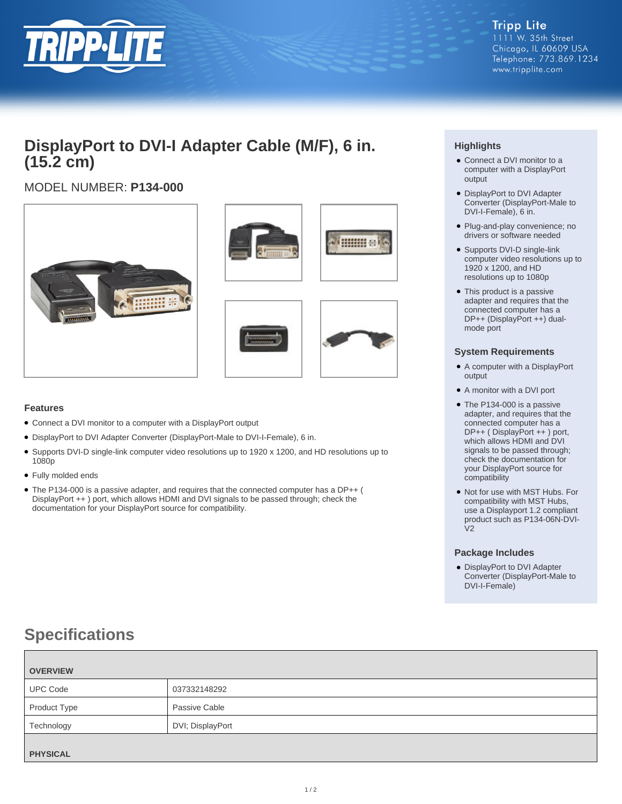

## **DisplayPort to DVI-I Adapter Cable (M/F), 6 in. (15.2 cm)**

## MODEL NUMBER: **P134-000**







### **Features**

- Connect a DVI monitor to a computer with a DisplayPort output
- DisplayPort to DVI Adapter Converter (DisplayPort-Male to DVI-I-Female), 6 in.
- Supports DVI-D single-link computer video resolutions up to 1920 x 1200, and HD resolutions up to 1080p
- Fully molded ends
- The P134-000 is a passive adapter, and requires that the connected computer has a DP++ ( DisplayPort ++ ) port, which allows HDMI and DVI signals to be passed through; check the documentation for your DisplayPort source for compatibility.

## **Highlights**

- Connect a DVI monitor to a computer with a DisplayPort output
- DisplayPort to DVI Adapter Converter (DisplayPort-Male to DVI-I-Female), 6 in.
- Plug-and-play convenience; no drivers or software needed
- Supports DVI-D single-link computer video resolutions up to 1920 x 1200, and HD resolutions up to 1080p
- This product is a passive adapter and requires that the connected computer has a DP++ (DisplayPort ++) dualmode port

#### **System Requirements**

- A computer with a DisplayPort output
- A monitor with a DVI port
- The P134-000 is a passive adapter, and requires that the connected computer has a DP++ ( DisplayPort ++ ) port, which allows HDMI and DVI signals to be passed through; check the documentation for your DisplayPort source for compatibility
- Not for use with MST Hubs. For compatibility with MST Hubs, use a Displayport 1.2 compliant product such as P134-06N-DVI- $V<sub>2</sub>$

#### **Package Includes**

● DisplayPort to DVI Adapter Converter (DisplayPort-Male to DVI-I-Female)

# **Specifications**

| <b>OVERVIEW</b> |                  |
|-----------------|------------------|
| <b>UPC Code</b> | 037332148292     |
| Product Type    | Passive Cable    |
| Technology      | DVI; DisplayPort |
|                 |                  |
| <b>PHYSICAL</b> |                  |